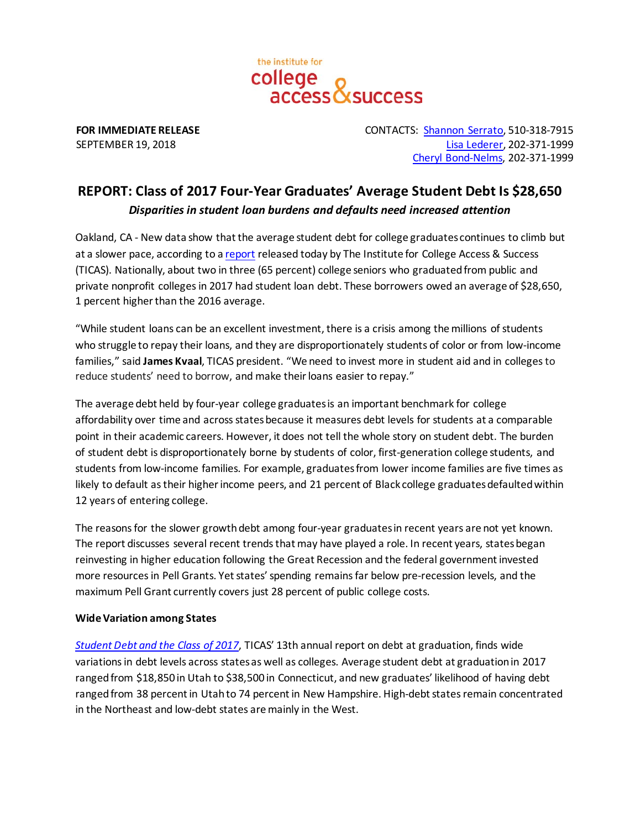

**FOR IMMEDIATE RELEASE** CONTACTS: [Shannon Serrato,](mailto:sserrato@ticas.org) 510-318-7915 SEPTEMBER 19, 2018 [Lisa Lederer,](mailto:lisa@prsolutionsdc.com) 202-371-1999 [Cheryl](mailto:cheryl@prsolutionsdc.com) Bond-Nelms, 202-371-1999

# **REPORT: Class of 2017 Four-Year Graduates' Average Student Debt Is \$28,650** *Disparities in student loan burdens and defaults need increased attention*

Oakland, CA - New data show that the average student debt for college graduates continues to climb but at a slower pace, according to [a report](https://ticas.org/sites/default/files/pub_files/classof2017.pdf) released today by The Institute for College Access & Success (TICAS). Nationally, about two in three (65 percent) college seniors who graduated from public and private nonprofit colleges in 2017 had student loan debt. These borrowers owed an average of \$28,650, 1 percent higher than the 2016 average.

"While student loans can be an excellent investment, there is a crisis among the millions of students who struggle to repay their loans, and they are disproportionately students of color or from low-income families," said **James Kvaal**, TICAS president. "We need to invest more in student aid and in colleges to reduce students' need to borrow, and make their loans easier to repay."

The average debt held by four-year college graduates is an important benchmark for college affordability over time and across states because it measures debt levels for students at a comparable point in their academic careers. However, it does not tell the whole story on student debt. The burden of student debt is disproportionately borne by students of color, first-generation college students, and students from low-income families. For example, graduates from lower income families are five times as likely to default as their higher income peers, and 21 percent of Black college graduates defaulted within 12 years of entering college.

The reasons for the slower growth debt among four-year graduates in recent years are not yet known. The report discusses several recent trends that may have played a role. In recent years, states began reinvesting in higher education following the Great Recession and the federal government invested more resources in Pell Grants. Yet states' spending remains far below pre-recession levels, and the maximum Pell Grant currently covers just 28 percent of public college costs.

## **Wide Variation among States**

*[Student Debt and the Class of 2017](https://ticas.org/sites/default/files/pub_files/classof2017.pdf)*, TICAS' 13th annual report on debt at graduation, finds wide variations in debt levels across states as well as colleges. Average student debt at graduation in 2017 ranged from \$18,850 in Utah to \$38,500 in Connecticut, and new graduates' likelihood of having debt ranged from 38 percent in Utah to 74 percent in New Hampshire. High-debt states remain concentrated in the Northeast and low-debt states are mainly in the West.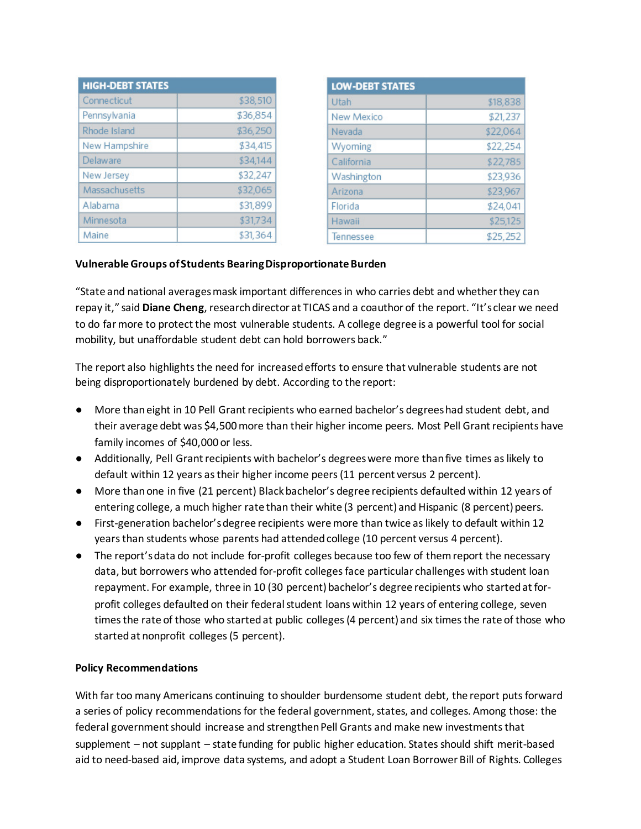| <b>HIGH-DEBT STATES</b> |          |
|-------------------------|----------|
| Connecticut             | \$38,510 |
| Pennsylvania            | \$36,854 |
| Rhode Island            | \$36,250 |
| New Hampshire           | \$34,415 |
| Delaware                | \$34,144 |
| New Jersey              | \$32,247 |
| Massachusetts           | \$32,065 |
| Alabama                 | \$31,899 |
| Minnesota               | \$31,734 |
| Maine                   | \$31,364 |

| <b>LOW-DEBT STATES</b> |          |
|------------------------|----------|
| Utah                   | \$18,838 |
| New Mexico             | \$21,237 |
| Nevada                 | \$22,064 |
| Wyoming                | \$22,254 |
| California             | \$22,785 |
| Washington             | \$23,936 |
| Arizona                | \$23,967 |
| Florida                | \$24,041 |
| Hawaii                 | \$25,125 |
| Tennessee              | \$25,252 |

### **Vulnerable Groups of Students Bearing Disproportionate Burden**

"State and national averages mask important differences in who carries debt and whether they can repay it," said **Diane Cheng**, research director at TICAS and a coauthor of the report. "It's clear we need to do far more to protect the most vulnerable students. A college degree is a powerful tool for social mobility, but unaffordable student debt can hold borrowers back."

The report also highlights the need for increased efforts to ensure that vulnerable students are not being disproportionately burdened by debt. According to the report:

- More than eight in 10 Pell Grant recipients who earned bachelor's degrees had student debt, and their average debt was \$4,500 more than their higher income peers. Most Pell Grant recipients have family incomes of \$40,000 or less.
- Additionally, Pell Grant recipients with bachelor's degrees were more than five times as likely to default within 12 years as their higher income peers (11 percent versus 2 percent).
- More than one in five (21 percent) Black bachelor's degree recipients defaulted within 12 years of entering college, a much higher rate than their white (3 percent) and Hispanic (8 percent) peers.
- First-generation bachelor's degree recipients were more than twice as likely to default within 12 years than students whose parents had attended college (10 percent versus 4 percent).
- The report's data do not include for-profit colleges because too few of them report the necessary data, but borrowers who attended for-profit colleges face particular challenges with student loan repayment. For example, three in 10 (30 percent) bachelor's degree recipients who started at forprofit colleges defaulted on their federal student loans within 12 years of entering college, seven times the rate of those who started at public colleges (4 percent) and six times the rate of those who started at nonprofit colleges (5 percent).

### **Policy Recommendations**

With far too many Americans continuing to shoulder burdensome student debt, the report puts forward a series of policy recommendations for the federal government, states, and colleges. Among those: the federal government should increase and strengthen Pell Grants and make new investments that supplement – not supplant – state funding for public higher education. States should shift merit-based aid to need-based aid, improve data systems, and adopt a Student Loan Borrower Bill of Rights. Colleges